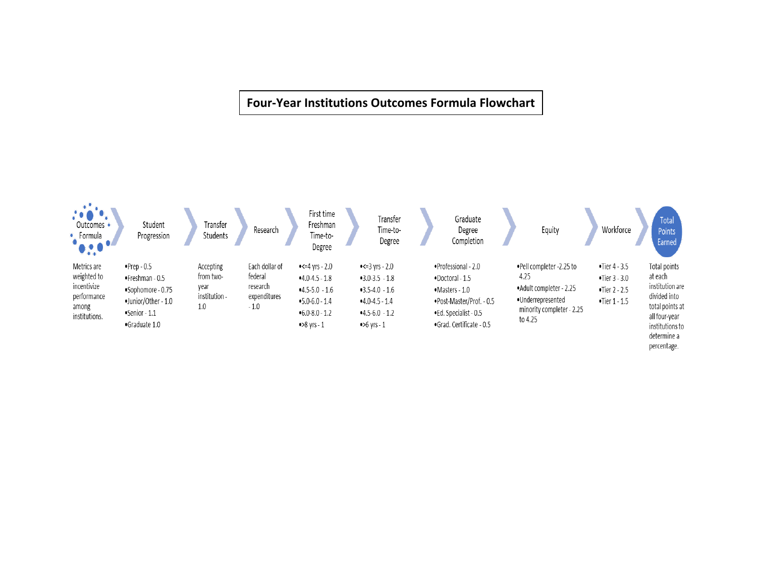# **Four-Year Institutions Outcomes Formula Flowchart**

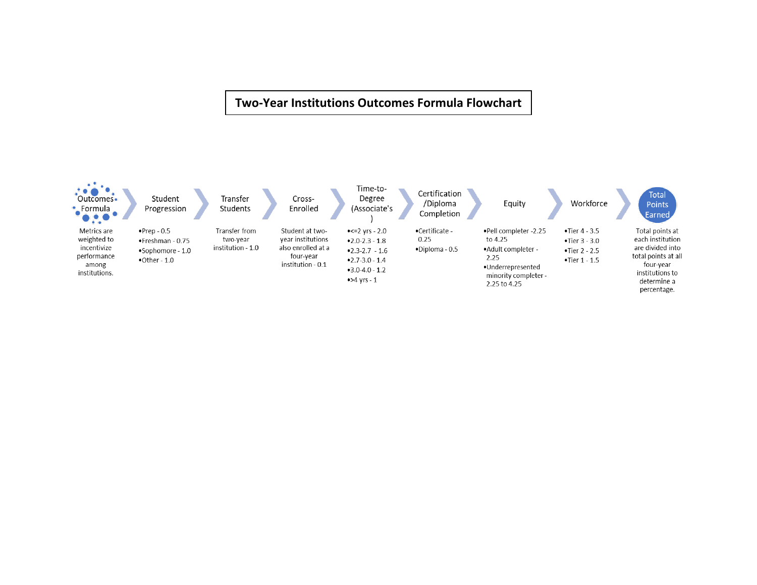## **Two-Year Institutions Outcomes Formula Flowchart**

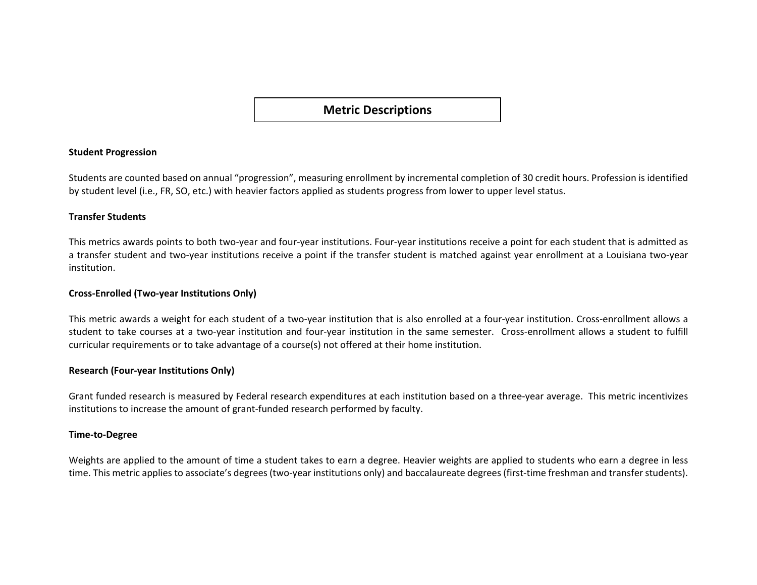**Metric Descriptions**

## **Student Progression**

Students are counted based on annual "progression", measuring enrollment by incremental completion of 30 credit hours. Profession is identified by student level (i.e., FR, SO, etc.) with heavier factors applied as students progress from lower to upper level status.

## **Transfer Students**

This metrics awards points to both two-year and four-year institutions. Four-year institutions receive a point for each student that is admitted as a transfer student and two-year institutions receive a point if the transfer student is matched against year enrollment at a Louisiana two-year institution.

## **Cross-Enrolled (Two-year Institutions Only)**

This metric awards a weight for each student of a two-year institution that is also enrolled at a four-year institution. Cross-enrollment allows a student to take courses at a two-year institution and four-year institution in the same semester. Cross-enrollment allows a student to fulfill curricular requirements or to take advantage of a course(s) not offered at their home institution.

#### **Research (Four-year Institutions Only)**

Grant funded research is measured by Federal research expenditures at each institution based on a three-year average. This metric incentivizes institutions to increase the amount of grant-funded research performed by faculty.

#### **Time-to-Degree**

Weights are applied to the amount of time a student takes to earn a degree. Heavier weights are applied to students who earn a degree in less time. This metric applies to associate's degrees (two-year institutions only) and baccalaureate degrees (first-time freshman and transfer students).